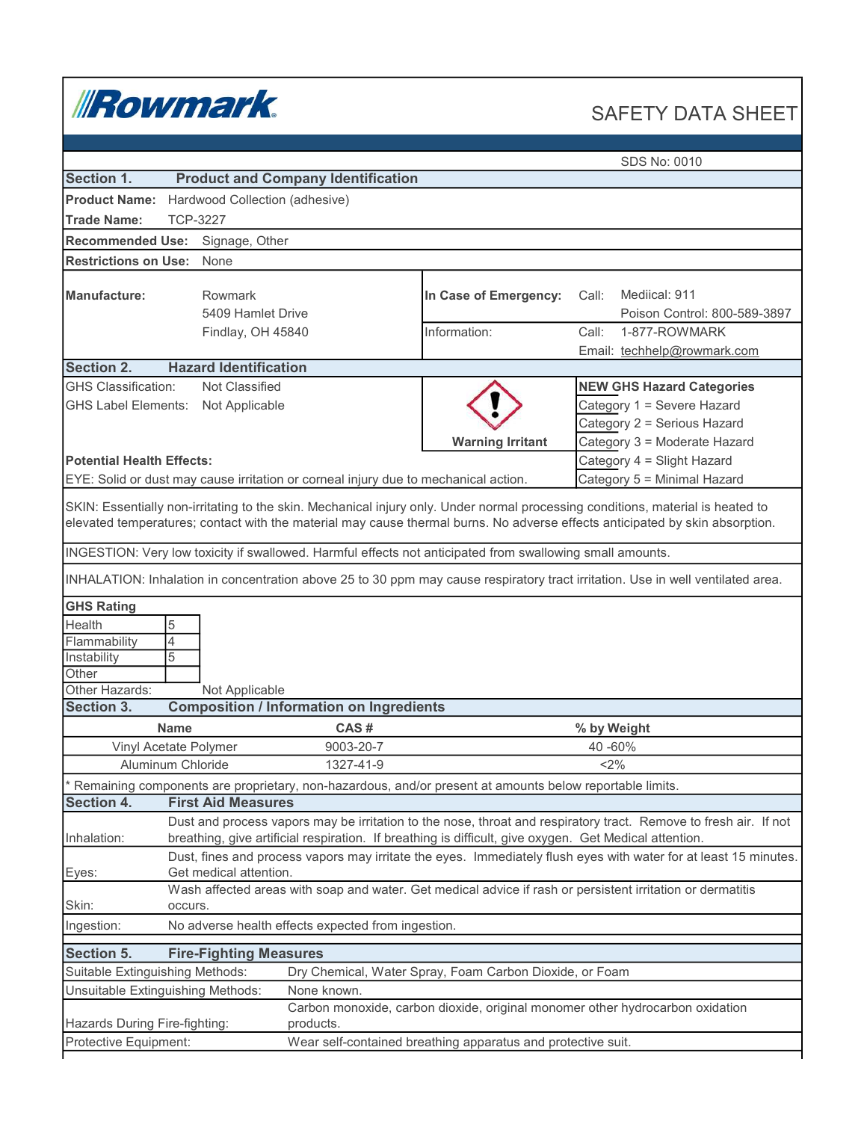

## SAFETY DATA SHEET

|                                                                                                                                                                                                                                                                 |                                                                                                                  |                                                                                            |                                                                                                           | SDS No: 0010                                                                                                                    |  |  |  |
|-----------------------------------------------------------------------------------------------------------------------------------------------------------------------------------------------------------------------------------------------------------------|------------------------------------------------------------------------------------------------------------------|--------------------------------------------------------------------------------------------|-----------------------------------------------------------------------------------------------------------|---------------------------------------------------------------------------------------------------------------------------------|--|--|--|
| Section 1.                                                                                                                                                                                                                                                      |                                                                                                                  | <b>Product and Company Identification</b>                                                  |                                                                                                           |                                                                                                                                 |  |  |  |
| <b>Product Name:</b><br>Hardwood Collection (adhesive)                                                                                                                                                                                                          |                                                                                                                  |                                                                                            |                                                                                                           |                                                                                                                                 |  |  |  |
| <b>Trade Name:</b><br><b>TCP-3227</b>                                                                                                                                                                                                                           |                                                                                                                  |                                                                                            |                                                                                                           |                                                                                                                                 |  |  |  |
| <b>Recommended Use:</b>                                                                                                                                                                                                                                         | Signage, Other                                                                                                   |                                                                                            |                                                                                                           |                                                                                                                                 |  |  |  |
| <b>Restrictions on Use:</b>                                                                                                                                                                                                                                     | None                                                                                                             |                                                                                            |                                                                                                           |                                                                                                                                 |  |  |  |
|                                                                                                                                                                                                                                                                 |                                                                                                                  |                                                                                            |                                                                                                           |                                                                                                                                 |  |  |  |
| <b>Manufacture:</b>                                                                                                                                                                                                                                             | <b>Rowmark</b>                                                                                                   |                                                                                            | In Case of Emergency:                                                                                     | Mediical: 911<br>Call:                                                                                                          |  |  |  |
|                                                                                                                                                                                                                                                                 | 5409 Hamlet Drive                                                                                                |                                                                                            |                                                                                                           | Poison Control: 800-589-3897                                                                                                    |  |  |  |
|                                                                                                                                                                                                                                                                 | Findlay, OH 45840                                                                                                |                                                                                            | Information:                                                                                              | Call:<br>1-877-ROWMARK                                                                                                          |  |  |  |
|                                                                                                                                                                                                                                                                 |                                                                                                                  |                                                                                            |                                                                                                           | Email: techhelp@rowmark.com                                                                                                     |  |  |  |
| Section 2.                                                                                                                                                                                                                                                      | <b>Hazard Identification</b>                                                                                     |                                                                                            |                                                                                                           |                                                                                                                                 |  |  |  |
| <b>GHS Classification:</b>                                                                                                                                                                                                                                      | Not Classified                                                                                                   |                                                                                            |                                                                                                           | <b>NEW GHS Hazard Categories</b>                                                                                                |  |  |  |
|                                                                                                                                                                                                                                                                 | GHS Label Elements: Not Applicable                                                                               |                                                                                            |                                                                                                           | Category 1 = Severe Hazard                                                                                                      |  |  |  |
|                                                                                                                                                                                                                                                                 |                                                                                                                  |                                                                                            |                                                                                                           | Category 2 = Serious Hazard                                                                                                     |  |  |  |
|                                                                                                                                                                                                                                                                 |                                                                                                                  |                                                                                            | <b>Warning Irritant</b>                                                                                   | Category 3 = Moderate Hazard                                                                                                    |  |  |  |
| <b>Potential Health Effects:</b>                                                                                                                                                                                                                                |                                                                                                                  |                                                                                            |                                                                                                           | Category 4 = Slight Hazard                                                                                                      |  |  |  |
|                                                                                                                                                                                                                                                                 |                                                                                                                  | EYE: Solid or dust may cause irritation or corneal injury due to mechanical action.        |                                                                                                           | Category 5 = Minimal Hazard                                                                                                     |  |  |  |
|                                                                                                                                                                                                                                                                 |                                                                                                                  |                                                                                            |                                                                                                           |                                                                                                                                 |  |  |  |
| SKIN: Essentially non-irritating to the skin. Mechanical injury only. Under normal processing conditions, material is heated to<br>elevated temperatures; contact with the material may cause thermal burns. No adverse effects anticipated by skin absorption. |                                                                                                                  |                                                                                            |                                                                                                           |                                                                                                                                 |  |  |  |
|                                                                                                                                                                                                                                                                 |                                                                                                                  |                                                                                            | INGESTION: Very low toxicity if swallowed. Harmful effects not anticipated from swallowing small amounts. |                                                                                                                                 |  |  |  |
|                                                                                                                                                                                                                                                                 |                                                                                                                  |                                                                                            |                                                                                                           | INHALATION: Inhalation in concentration above 25 to 30 ppm may cause respiratory tract irritation. Use in well ventilated area. |  |  |  |
| <b>GHS Rating</b>                                                                                                                                                                                                                                               |                                                                                                                  |                                                                                            |                                                                                                           |                                                                                                                                 |  |  |  |
| Health                                                                                                                                                                                                                                                          | 5                                                                                                                |                                                                                            |                                                                                                           |                                                                                                                                 |  |  |  |
| Flammability                                                                                                                                                                                                                                                    | $\overline{4}$                                                                                                   |                                                                                            |                                                                                                           |                                                                                                                                 |  |  |  |
| Instability                                                                                                                                                                                                                                                     | 5                                                                                                                |                                                                                            |                                                                                                           |                                                                                                                                 |  |  |  |
| Other                                                                                                                                                                                                                                                           |                                                                                                                  |                                                                                            |                                                                                                           |                                                                                                                                 |  |  |  |
| Other Hazards:                                                                                                                                                                                                                                                  | Not Applicable                                                                                                   |                                                                                            |                                                                                                           |                                                                                                                                 |  |  |  |
| Section 3.                                                                                                                                                                                                                                                      |                                                                                                                  | <b>Composition / Information on Ingredients</b>                                            |                                                                                                           |                                                                                                                                 |  |  |  |
|                                                                                                                                                                                                                                                                 | <b>Name</b>                                                                                                      | CAS#                                                                                       |                                                                                                           | % by Weight                                                                                                                     |  |  |  |
|                                                                                                                                                                                                                                                                 | Vinyl Acetate Polymer                                                                                            | 9003-20-7                                                                                  |                                                                                                           | 40 -60%                                                                                                                         |  |  |  |
|                                                                                                                                                                                                                                                                 | Aluminum Chloride                                                                                                | 1327-41-9                                                                                  |                                                                                                           | <2%                                                                                                                             |  |  |  |
|                                                                                                                                                                                                                                                                 |                                                                                                                  |                                                                                            | Remaining components are proprietary, non-hazardous, and/or present at amounts below reportable limits.   |                                                                                                                                 |  |  |  |
| Section 4.                                                                                                                                                                                                                                                      | <b>First Aid Measures</b>                                                                                        |                                                                                            |                                                                                                           |                                                                                                                                 |  |  |  |
|                                                                                                                                                                                                                                                                 |                                                                                                                  |                                                                                            |                                                                                                           | Dust and process vapors may be irritation to the nose, throat and respiratory tract. Remove to fresh air. If not                |  |  |  |
| Inhalation:                                                                                                                                                                                                                                                     | breathing, give artificial respiration. If breathing is difficult, give oxygen. Get Medical attention.           |                                                                                            |                                                                                                           |                                                                                                                                 |  |  |  |
|                                                                                                                                                                                                                                                                 | Dust, fines and process vapors may irritate the eyes. Immediately flush eyes with water for at least 15 minutes. |                                                                                            |                                                                                                           |                                                                                                                                 |  |  |  |
| Eyes:                                                                                                                                                                                                                                                           | Get medical attention.                                                                                           |                                                                                            |                                                                                                           |                                                                                                                                 |  |  |  |
|                                                                                                                                                                                                                                                                 |                                                                                                                  |                                                                                            |                                                                                                           | Wash affected areas with soap and water. Get medical advice if rash or persistent irritation or dermatitis                      |  |  |  |
|                                                                                                                                                                                                                                                                 | Skin:<br>occurs.                                                                                                 |                                                                                            |                                                                                                           |                                                                                                                                 |  |  |  |
| No adverse health effects expected from ingestion.<br>Ingestion:                                                                                                                                                                                                |                                                                                                                  |                                                                                            |                                                                                                           |                                                                                                                                 |  |  |  |
| <b>Section 5.</b>                                                                                                                                                                                                                                               | <b>Fire-Fighting Measures</b>                                                                                    |                                                                                            |                                                                                                           |                                                                                                                                 |  |  |  |
| Suitable Extinguishing Methods:                                                                                                                                                                                                                                 |                                                                                                                  |                                                                                            | Dry Chemical, Water Spray, Foam Carbon Dioxide, or Foam                                                   |                                                                                                                                 |  |  |  |
| Unsuitable Extinguishing Methods:                                                                                                                                                                                                                               |                                                                                                                  | None known.                                                                                |                                                                                                           |                                                                                                                                 |  |  |  |
| Hazards During Fire-fighting:                                                                                                                                                                                                                                   |                                                                                                                  | Carbon monoxide, carbon dioxide, original monomer other hydrocarbon oxidation<br>products. |                                                                                                           |                                                                                                                                 |  |  |  |
| Protective Equipment:                                                                                                                                                                                                                                           |                                                                                                                  |                                                                                            | Wear self-contained breathing apparatus and protective suit.                                              |                                                                                                                                 |  |  |  |
|                                                                                                                                                                                                                                                                 |                                                                                                                  |                                                                                            |                                                                                                           |                                                                                                                                 |  |  |  |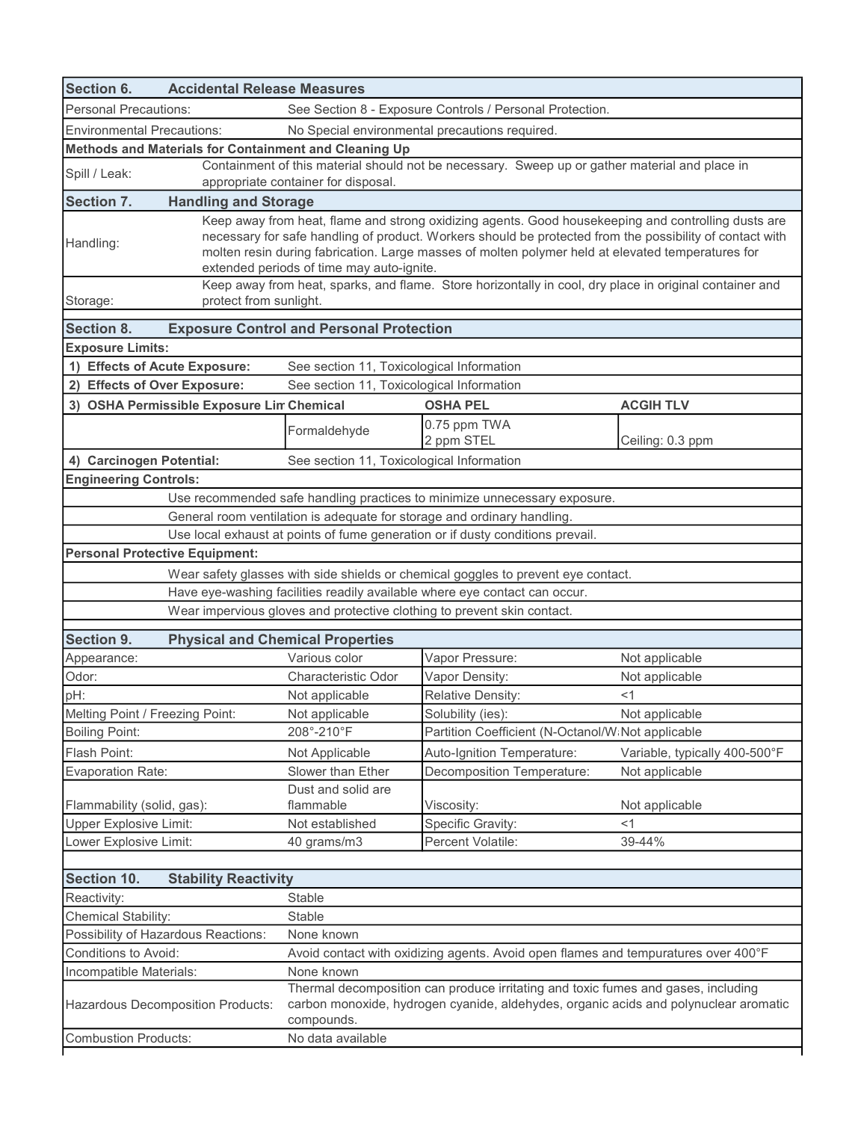| <b>Personal Precautions:</b><br>See Section 8 - Exposure Controls / Personal Protection.<br><b>Environmental Precautions:</b><br>No Special environmental precautions required.<br>Methods and Materials for Containment and Cleaning Up<br>Containment of this material should not be necessary. Sweep up or gather material and place in<br>Spill / Leak:<br>appropriate container for disposal.<br><b>Section 7.</b><br><b>Handling and Storage</b><br>Keep away from heat, flame and strong oxidizing agents. Good housekeeping and controlling dusts are<br>necessary for safe handling of product. Workers should be protected from the possibility of contact with<br>Handling: |                                                                                                                                                                           |  |  |  |  |  |
|----------------------------------------------------------------------------------------------------------------------------------------------------------------------------------------------------------------------------------------------------------------------------------------------------------------------------------------------------------------------------------------------------------------------------------------------------------------------------------------------------------------------------------------------------------------------------------------------------------------------------------------------------------------------------------------|---------------------------------------------------------------------------------------------------------------------------------------------------------------------------|--|--|--|--|--|
|                                                                                                                                                                                                                                                                                                                                                                                                                                                                                                                                                                                                                                                                                        |                                                                                                                                                                           |  |  |  |  |  |
|                                                                                                                                                                                                                                                                                                                                                                                                                                                                                                                                                                                                                                                                                        |                                                                                                                                                                           |  |  |  |  |  |
|                                                                                                                                                                                                                                                                                                                                                                                                                                                                                                                                                                                                                                                                                        |                                                                                                                                                                           |  |  |  |  |  |
|                                                                                                                                                                                                                                                                                                                                                                                                                                                                                                                                                                                                                                                                                        |                                                                                                                                                                           |  |  |  |  |  |
|                                                                                                                                                                                                                                                                                                                                                                                                                                                                                                                                                                                                                                                                                        |                                                                                                                                                                           |  |  |  |  |  |
| molten resin during fabrication. Large masses of molten polymer held at elevated temperatures for<br>extended periods of time may auto-ignite.                                                                                                                                                                                                                                                                                                                                                                                                                                                                                                                                         |                                                                                                                                                                           |  |  |  |  |  |
| Keep away from heat, sparks, and flame. Store horizontally in cool, dry place in original container and<br>protect from sunlight.<br>Storage:                                                                                                                                                                                                                                                                                                                                                                                                                                                                                                                                          |                                                                                                                                                                           |  |  |  |  |  |
| <b>Section 8.</b><br><b>Exposure Control and Personal Protection</b>                                                                                                                                                                                                                                                                                                                                                                                                                                                                                                                                                                                                                   |                                                                                                                                                                           |  |  |  |  |  |
| <b>Exposure Limits:</b>                                                                                                                                                                                                                                                                                                                                                                                                                                                                                                                                                                                                                                                                |                                                                                                                                                                           |  |  |  |  |  |
| 1) Effects of Acute Exposure:<br>See section 11, Toxicological Information                                                                                                                                                                                                                                                                                                                                                                                                                                                                                                                                                                                                             |                                                                                                                                                                           |  |  |  |  |  |
| 2) Effects of Over Exposure:<br>See section 11, Toxicological Information                                                                                                                                                                                                                                                                                                                                                                                                                                                                                                                                                                                                              |                                                                                                                                                                           |  |  |  |  |  |
| 3) OSHA Permissible Exposure Lim Chemical<br><b>OSHA PEL</b><br><b>ACGIHTLV</b>                                                                                                                                                                                                                                                                                                                                                                                                                                                                                                                                                                                                        |                                                                                                                                                                           |  |  |  |  |  |
| 0.75 ppm TWA<br>Formaldehyde<br>2 ppm STEL<br>Ceiling: 0.3 ppm                                                                                                                                                                                                                                                                                                                                                                                                                                                                                                                                                                                                                         |                                                                                                                                                                           |  |  |  |  |  |
| 4) Carcinogen Potential:<br>See section 11, Toxicological Information                                                                                                                                                                                                                                                                                                                                                                                                                                                                                                                                                                                                                  |                                                                                                                                                                           |  |  |  |  |  |
| <b>Engineering Controls:</b>                                                                                                                                                                                                                                                                                                                                                                                                                                                                                                                                                                                                                                                           |                                                                                                                                                                           |  |  |  |  |  |
| Use recommended safe handling practices to minimize unnecessary exposure.                                                                                                                                                                                                                                                                                                                                                                                                                                                                                                                                                                                                              |                                                                                                                                                                           |  |  |  |  |  |
| General room ventilation is adequate for storage and ordinary handling.                                                                                                                                                                                                                                                                                                                                                                                                                                                                                                                                                                                                                |                                                                                                                                                                           |  |  |  |  |  |
| Use local exhaust at points of fume generation or if dusty conditions prevail.                                                                                                                                                                                                                                                                                                                                                                                                                                                                                                                                                                                                         |                                                                                                                                                                           |  |  |  |  |  |
| <b>Personal Protective Equipment:</b>                                                                                                                                                                                                                                                                                                                                                                                                                                                                                                                                                                                                                                                  |                                                                                                                                                                           |  |  |  |  |  |
| Wear safety glasses with side shields or chemical goggles to prevent eye contact.                                                                                                                                                                                                                                                                                                                                                                                                                                                                                                                                                                                                      |                                                                                                                                                                           |  |  |  |  |  |
| Have eye-washing facilities readily available where eye contact can occur.                                                                                                                                                                                                                                                                                                                                                                                                                                                                                                                                                                                                             |                                                                                                                                                                           |  |  |  |  |  |
| Wear impervious gloves and protective clothing to prevent skin contact.                                                                                                                                                                                                                                                                                                                                                                                                                                                                                                                                                                                                                |                                                                                                                                                                           |  |  |  |  |  |
| <b>Section 9.</b><br><b>Physical and Chemical Properties</b>                                                                                                                                                                                                                                                                                                                                                                                                                                                                                                                                                                                                                           |                                                                                                                                                                           |  |  |  |  |  |
| Various color<br>Vapor Pressure:<br>Not applicable<br>Appearance:                                                                                                                                                                                                                                                                                                                                                                                                                                                                                                                                                                                                                      |                                                                                                                                                                           |  |  |  |  |  |
| Odor:<br>Vapor Density:<br>Characteristic Odor<br>Not applicable                                                                                                                                                                                                                                                                                                                                                                                                                                                                                                                                                                                                                       |                                                                                                                                                                           |  |  |  |  |  |
| pH:<br>Not applicable<br>Relative Density:<br><1                                                                                                                                                                                                                                                                                                                                                                                                                                                                                                                                                                                                                                       |                                                                                                                                                                           |  |  |  |  |  |
| Melting Point / Freezing Point:<br>Solubility (ies):<br>Not applicable<br>Not applicable                                                                                                                                                                                                                                                                                                                                                                                                                                                                                                                                                                                               |                                                                                                                                                                           |  |  |  |  |  |
| 208°-210°F<br>Partition Coefficient (N-Octanol/W Not applicable<br><b>Boiling Point:</b>                                                                                                                                                                                                                                                                                                                                                                                                                                                                                                                                                                                               |                                                                                                                                                                           |  |  |  |  |  |
| Flash Point:<br>Auto-Ignition Temperature:<br>Not Applicable<br>Variable, typically 400-500°F                                                                                                                                                                                                                                                                                                                                                                                                                                                                                                                                                                                          |                                                                                                                                                                           |  |  |  |  |  |
| Decomposition Temperature:<br><b>Evaporation Rate:</b><br>Slower than Ether<br>Not applicable                                                                                                                                                                                                                                                                                                                                                                                                                                                                                                                                                                                          |                                                                                                                                                                           |  |  |  |  |  |
| Dust and solid are<br>Flammability (solid, gas):<br>flammable<br>Viscosity:<br>Not applicable                                                                                                                                                                                                                                                                                                                                                                                                                                                                                                                                                                                          |                                                                                                                                                                           |  |  |  |  |  |
| <b>Upper Explosive Limit:</b><br>Not established<br>Specific Gravity:<br>$<$ 1                                                                                                                                                                                                                                                                                                                                                                                                                                                                                                                                                                                                         |                                                                                                                                                                           |  |  |  |  |  |
| Percent Volatile:<br>Lower Explosive Limit:<br>40 grams/m3<br>39-44%                                                                                                                                                                                                                                                                                                                                                                                                                                                                                                                                                                                                                   |                                                                                                                                                                           |  |  |  |  |  |
| <b>Section 10.</b><br><b>Stability Reactivity</b>                                                                                                                                                                                                                                                                                                                                                                                                                                                                                                                                                                                                                                      |                                                                                                                                                                           |  |  |  |  |  |
| Reactivity:<br>Stable                                                                                                                                                                                                                                                                                                                                                                                                                                                                                                                                                                                                                                                                  |                                                                                                                                                                           |  |  |  |  |  |
| <b>Chemical Stability:</b><br>Stable                                                                                                                                                                                                                                                                                                                                                                                                                                                                                                                                                                                                                                                   |                                                                                                                                                                           |  |  |  |  |  |
| Possibility of Hazardous Reactions:<br>None known                                                                                                                                                                                                                                                                                                                                                                                                                                                                                                                                                                                                                                      |                                                                                                                                                                           |  |  |  |  |  |
| Conditions to Avoid:                                                                                                                                                                                                                                                                                                                                                                                                                                                                                                                                                                                                                                                                   | Avoid contact with oxidizing agents. Avoid open flames and tempuratures over 400°F                                                                                        |  |  |  |  |  |
| Incompatible Materials:<br>None known                                                                                                                                                                                                                                                                                                                                                                                                                                                                                                                                                                                                                                                  |                                                                                                                                                                           |  |  |  |  |  |
| <b>Hazardous Decomposition Products:</b><br>compounds.                                                                                                                                                                                                                                                                                                                                                                                                                                                                                                                                                                                                                                 | Thermal decomposition can produce irritating and toxic fumes and gases, including<br>carbon monoxide, hydrogen cyanide, aldehydes, organic acids and polynuclear aromatic |  |  |  |  |  |
| <b>Combustion Products:</b><br>No data available                                                                                                                                                                                                                                                                                                                                                                                                                                                                                                                                                                                                                                       |                                                                                                                                                                           |  |  |  |  |  |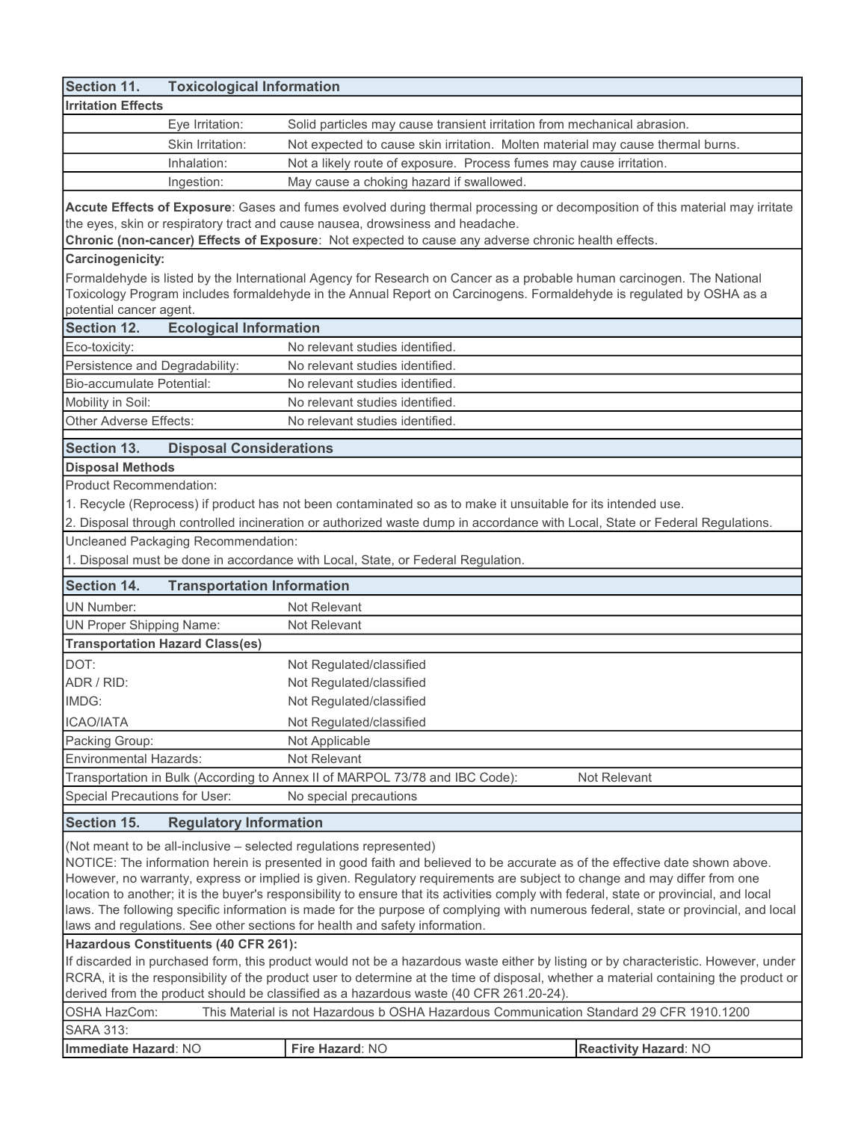| Section 11.                              | <b>Toxicological Information</b>                                                                                                                                                                               |                                                                                                                                                                                                                                                                     |  |  |  |  |  |
|------------------------------------------|----------------------------------------------------------------------------------------------------------------------------------------------------------------------------------------------------------------|---------------------------------------------------------------------------------------------------------------------------------------------------------------------------------------------------------------------------------------------------------------------|--|--|--|--|--|
| <b>Irritation Effects</b>                |                                                                                                                                                                                                                |                                                                                                                                                                                                                                                                     |  |  |  |  |  |
|                                          | Eye Irritation:                                                                                                                                                                                                | Solid particles may cause transient irritation from mechanical abrasion.                                                                                                                                                                                            |  |  |  |  |  |
|                                          | Skin Irritation:                                                                                                                                                                                               | Not expected to cause skin irritation. Molten material may cause thermal burns.                                                                                                                                                                                     |  |  |  |  |  |
|                                          | Inhalation:                                                                                                                                                                                                    | Not a likely route of exposure. Process fumes may cause irritation.                                                                                                                                                                                                 |  |  |  |  |  |
|                                          | Ingestion:                                                                                                                                                                                                     | May cause a choking hazard if swallowed.                                                                                                                                                                                                                            |  |  |  |  |  |
|                                          |                                                                                                                                                                                                                |                                                                                                                                                                                                                                                                     |  |  |  |  |  |
|                                          | Accute Effects of Exposure: Gases and fumes evolved during thermal processing or decomposition of this material may irritate<br>the eyes, skin or respiratory tract and cause nausea, drowsiness and headache. |                                                                                                                                                                                                                                                                     |  |  |  |  |  |
|                                          |                                                                                                                                                                                                                | Chronic (non-cancer) Effects of Exposure: Not expected to cause any adverse chronic health effects.                                                                                                                                                                 |  |  |  |  |  |
| <b>Carcinogenicity:</b>                  |                                                                                                                                                                                                                |                                                                                                                                                                                                                                                                     |  |  |  |  |  |
|                                          |                                                                                                                                                                                                                | Formaldehyde is listed by the International Agency for Research on Cancer as a probable human carcinogen. The National                                                                                                                                              |  |  |  |  |  |
|                                          |                                                                                                                                                                                                                | Toxicology Program includes formaldehyde in the Annual Report on Carcinogens. Formaldehyde is regulated by OSHA as a                                                                                                                                                |  |  |  |  |  |
| potential cancer agent.                  |                                                                                                                                                                                                                |                                                                                                                                                                                                                                                                     |  |  |  |  |  |
| <b>Section 12.</b>                       | <b>Ecological Information</b>                                                                                                                                                                                  |                                                                                                                                                                                                                                                                     |  |  |  |  |  |
| Eco-toxicity:                            |                                                                                                                                                                                                                | No relevant studies identified.                                                                                                                                                                                                                                     |  |  |  |  |  |
| Persistence and Degradability:           |                                                                                                                                                                                                                | No relevant studies identified.                                                                                                                                                                                                                                     |  |  |  |  |  |
| Bio-accumulate Potential:                |                                                                                                                                                                                                                | No relevant studies identified.                                                                                                                                                                                                                                     |  |  |  |  |  |
| Mobility in Soil:                        |                                                                                                                                                                                                                | No relevant studies identified.                                                                                                                                                                                                                                     |  |  |  |  |  |
| Other Adverse Effects:                   |                                                                                                                                                                                                                | No relevant studies identified.                                                                                                                                                                                                                                     |  |  |  |  |  |
|                                          |                                                                                                                                                                                                                |                                                                                                                                                                                                                                                                     |  |  |  |  |  |
| <b>Section 13.</b>                       | <b>Disposal Considerations</b>                                                                                                                                                                                 |                                                                                                                                                                                                                                                                     |  |  |  |  |  |
| <b>Disposal Methods</b>                  |                                                                                                                                                                                                                |                                                                                                                                                                                                                                                                     |  |  |  |  |  |
| <b>Product Recommendation:</b>           |                                                                                                                                                                                                                |                                                                                                                                                                                                                                                                     |  |  |  |  |  |
|                                          |                                                                                                                                                                                                                | 1. Recycle (Reprocess) if product has not been contaminated so as to make it unsuitable for its intended use.                                                                                                                                                       |  |  |  |  |  |
|                                          |                                                                                                                                                                                                                | 2. Disposal through controlled incineration or authorized waste dump in accordance with Local, State or Federal Regulations.                                                                                                                                        |  |  |  |  |  |
|                                          | Uncleaned Packaging Recommendation:                                                                                                                                                                            |                                                                                                                                                                                                                                                                     |  |  |  |  |  |
|                                          |                                                                                                                                                                                                                | 1. Disposal must be done in accordance with Local, State, or Federal Regulation.                                                                                                                                                                                    |  |  |  |  |  |
|                                          |                                                                                                                                                                                                                |                                                                                                                                                                                                                                                                     |  |  |  |  |  |
| <b>Section 14.</b>                       |                                                                                                                                                                                                                |                                                                                                                                                                                                                                                                     |  |  |  |  |  |
|                                          | <b>Transportation Information</b>                                                                                                                                                                              |                                                                                                                                                                                                                                                                     |  |  |  |  |  |
| <b>UN Number:</b>                        |                                                                                                                                                                                                                | Not Relevant                                                                                                                                                                                                                                                        |  |  |  |  |  |
| <b>UN Proper Shipping Name:</b>          |                                                                                                                                                                                                                | Not Relevant                                                                                                                                                                                                                                                        |  |  |  |  |  |
|                                          | <b>Transportation Hazard Class(es)</b>                                                                                                                                                                         |                                                                                                                                                                                                                                                                     |  |  |  |  |  |
| DOT:                                     |                                                                                                                                                                                                                | Not Regulated/classified                                                                                                                                                                                                                                            |  |  |  |  |  |
| ADR / RID:                               |                                                                                                                                                                                                                | Not Regulated/classified                                                                                                                                                                                                                                            |  |  |  |  |  |
| IMDG:                                    |                                                                                                                                                                                                                | Not Regulated/classified                                                                                                                                                                                                                                            |  |  |  |  |  |
| <b>ICAO/IATA</b>                         |                                                                                                                                                                                                                | Not Regulated/classified                                                                                                                                                                                                                                            |  |  |  |  |  |
| Packing Group:                           |                                                                                                                                                                                                                | Not Applicable                                                                                                                                                                                                                                                      |  |  |  |  |  |
| <b>Environmental Hazards:</b>            |                                                                                                                                                                                                                | Not Relevant                                                                                                                                                                                                                                                        |  |  |  |  |  |
|                                          |                                                                                                                                                                                                                | Transportation in Bulk (According to Annex II of MARPOL 73/78 and IBC Code):<br>Not Relevant                                                                                                                                                                        |  |  |  |  |  |
| Special Precautions for User:            |                                                                                                                                                                                                                | No special precautions                                                                                                                                                                                                                                              |  |  |  |  |  |
| <b>Section 15.</b>                       | <b>Regulatory Information</b>                                                                                                                                                                                  |                                                                                                                                                                                                                                                                     |  |  |  |  |  |
|                                          |                                                                                                                                                                                                                |                                                                                                                                                                                                                                                                     |  |  |  |  |  |
|                                          |                                                                                                                                                                                                                | (Not meant to be all-inclusive - selected regulations represented)                                                                                                                                                                                                  |  |  |  |  |  |
|                                          |                                                                                                                                                                                                                | NOTICE: The information herein is presented in good faith and believed to be accurate as of the effective date shown above.                                                                                                                                         |  |  |  |  |  |
|                                          |                                                                                                                                                                                                                | However, no warranty, express or implied is given. Regulatory requirements are subject to change and may differ from one<br>location to another; it is the buyer's responsibility to ensure that its activities comply with federal, state or provincial, and local |  |  |  |  |  |
|                                          |                                                                                                                                                                                                                | laws. The following specific information is made for the purpose of complying with numerous federal, state or provincial, and local                                                                                                                                 |  |  |  |  |  |
|                                          |                                                                                                                                                                                                                | laws and regulations. See other sections for health and safety information.                                                                                                                                                                                         |  |  |  |  |  |
|                                          | Hazardous Constituents (40 CFR 261):                                                                                                                                                                           |                                                                                                                                                                                                                                                                     |  |  |  |  |  |
|                                          |                                                                                                                                                                                                                | If discarded in purchased form, this product would not be a hazardous waste either by listing or by characteristic. However, under                                                                                                                                  |  |  |  |  |  |
|                                          |                                                                                                                                                                                                                | RCRA, it is the responsibility of the product user to determine at the time of disposal, whether a material containing the product or                                                                                                                               |  |  |  |  |  |
|                                          |                                                                                                                                                                                                                | derived from the product should be classified as a hazardous waste (40 CFR 261.20-24).                                                                                                                                                                              |  |  |  |  |  |
| OSHA HazCom:                             |                                                                                                                                                                                                                | This Material is not Hazardous b OSHA Hazardous Communication Standard 29 CFR 1910.1200                                                                                                                                                                             |  |  |  |  |  |
| <b>SARA 313:</b><br>Immediate Hazard: NO |                                                                                                                                                                                                                | Fire Hazard: NO<br><b>Reactivity Hazard: NO</b>                                                                                                                                                                                                                     |  |  |  |  |  |